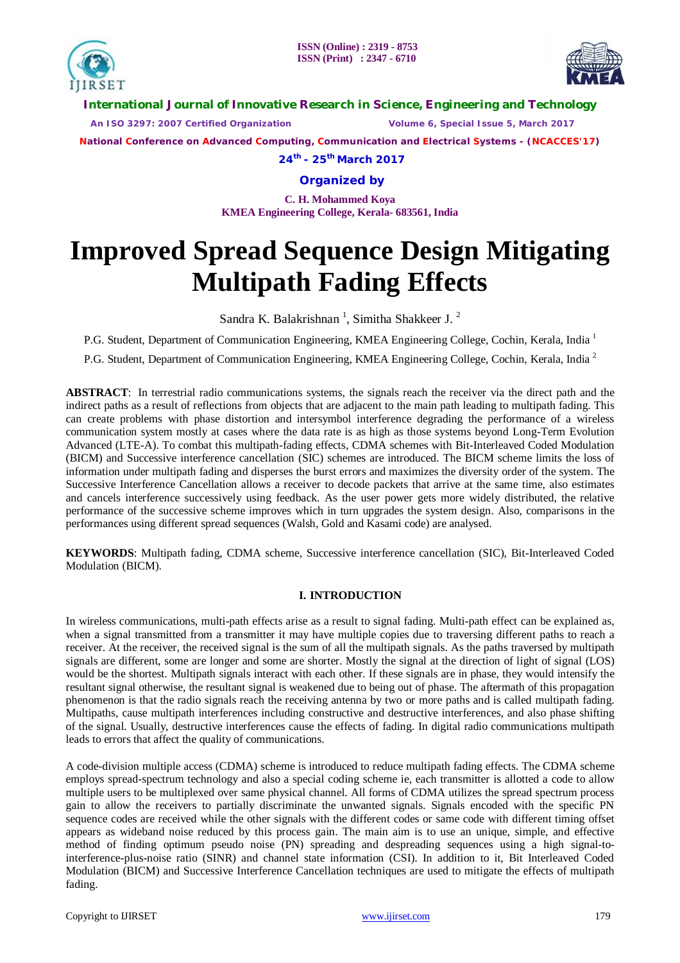



**International Journal of Innovative Research in Science, Engineering and Technology**

 *An ISO 3297: 2007 Certified Organization Volume 6, Special Issue 5, March 2017*

**National Conference on Advanced Computing, Communication and Electrical Systems - (NCACCES'17)**

**24th - 25th March 2017**

**Organized by**

**C. H. Mohammed Koya KMEA Engineering College, Kerala- 683561, India** 

# **Improved Spread Sequence Design Mitigating Multipath Fading Effects**

Sandra K. Balakrishnan<sup>1</sup>, Simitha Shakkeer J.<sup>2</sup>

P.G. Student, Department of Communication Engineering, KMEA Engineering College, Cochin, Kerala, India<sup>1</sup>

P.G. Student, Department of Communication Engineering, KMEA Engineering College, Cochin, Kerala, India <sup>2</sup>

**ABSTRACT**: In terrestrial radio communications systems, the signals reach the receiver via the direct path and the indirect paths as a result of reflections from objects that are adjacent to the main path leading to multipath fading. This can create problems with phase distortion and intersymbol interference degrading the performance of a wireless communication system mostly at cases where the data rate is as high as those systems beyond Long-Term Evolution Advanced (LTE-A). To combat this multipath-fading effects, CDMA schemes with Bit-Interleaved Coded Modulation (BICM) and Successive interference cancellation (SIC) schemes are introduced. The BICM scheme limits the loss of information under multipath fading and disperses the burst errors and maximizes the diversity order of the system. The Successive Interference Cancellation allows a receiver to decode packets that arrive at the same time, also estimates and cancels interference successively using feedback. As the user power gets more widely distributed, the relative performance of the successive scheme improves which in turn upgrades the system design. Also, comparisons in the performances using different spread sequences (Walsh, Gold and Kasami code) are analysed.

**KEYWORDS**: Multipath fading, CDMA scheme, Successive interference cancellation (SIC), Bit-Interleaved Coded Modulation (BICM).

# **I. INTRODUCTION**

In wireless communications, multi-path effects arise as a result to signal fading. Multi-path effect can be explained as, when a signal transmitted from a transmitter it may have multiple copies due to traversing different paths to reach a receiver. At the receiver, the received signal is the sum of all the multipath signals. As the paths traversed by multipath signals are different, some are longer and some are shorter. Mostly the signal at the direction of light of signal (LOS) would be the shortest. Multipath signals interact with each other. If these signals are in phase, they would intensify the resultant signal otherwise, the resultant signal is weakened due to being out of phase. The aftermath of this propagation phenomenon is that the radio signals reach the receiving antenna by two or more paths and is called multipath fading. Multipaths, cause multipath interferences including constructive and destructive interferences, and also phase shifting of the signal. Usually, destructive interferences cause the effects of fading. In digital radio communications multipath leads to errors that affect the quality of communications.

A code-division multiple access (CDMA) scheme is introduced to reduce multipath fading effects. The CDMA scheme employs spread-spectrum technology and also a special coding scheme ie, each transmitter is allotted a code to allow multiple users to be multiplexed over same physical channel. All forms of CDMA utilizes the spread spectrum process gain to allow the receivers to partially discriminate the unwanted signals. Signals encoded with the specific PN sequence codes are received while the other signals with the different codes or same code with different timing offset appears as wideband noise reduced by this process gain. The main aim is to use an unique, simple, and effective method of finding optimum pseudo noise (PN) spreading and despreading sequences using a high signal-tointerference-plus-noise ratio (SINR) and channel state information (CSI). In addition to it, Bit Interleaved Coded Modulation (BICM) and Successive Interference Cancellation techniques are used to mitigate the effects of multipath fading.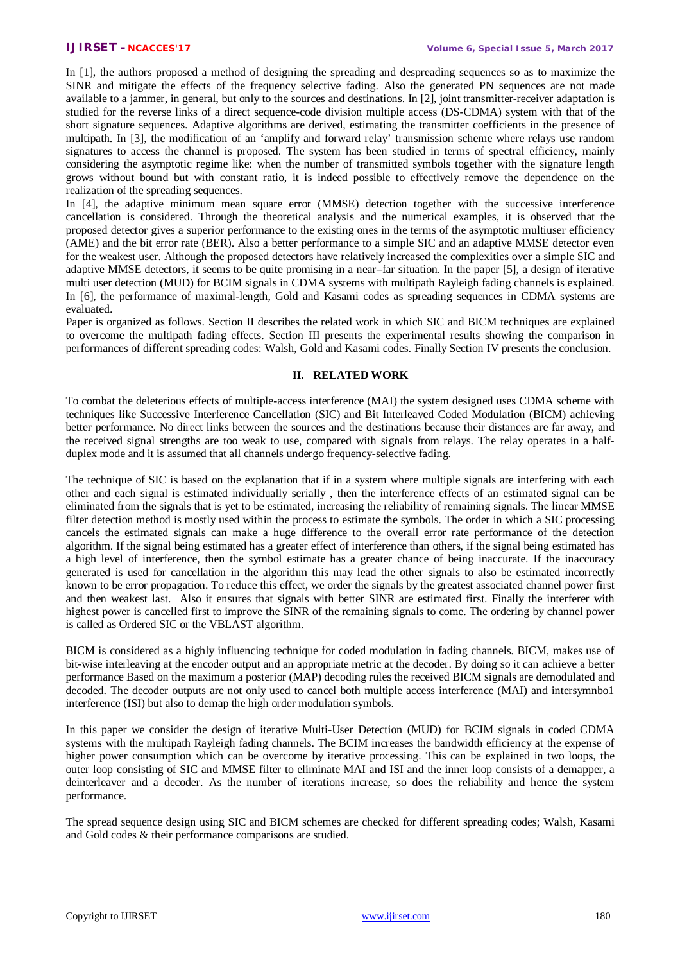In [1], the authors proposed a method of designing the spreading and despreading sequences so as to maximize the SINR and mitigate the effects of the frequency selective fading. Also the generated PN sequences are not made available to a jammer, in general, but only to the sources and destinations. In [2], joint transmitter-receiver adaptation is studied for the reverse links of a direct sequence-code division multiple access (DS-CDMA) system with that of the short signature sequences. Adaptive algorithms are derived, estimating the transmitter coefficients in the presence of multipath. In [3], the modification of an 'amplify and forward relay' transmission scheme where relays use random signatures to access the channel is proposed. The system has been studied in terms of spectral efficiency, mainly considering the asymptotic regime like: when the number of transmitted symbols together with the signature length grows without bound but with constant ratio, it is indeed possible to effectively remove the dependence on the realization of the spreading sequences.

In [4], the adaptive minimum mean square error (MMSE) detection together with the successive interference cancellation is considered. Through the theoretical analysis and the numerical examples, it is observed that the proposed detector gives a superior performance to the existing ones in the terms of the asymptotic multiuser efficiency (AME) and the bit error rate (BER). Also a better performance to a simple SIC and an adaptive MMSE detector even for the weakest user. Although the proposed detectors have relatively increased the complexities over a simple SIC and adaptive MMSE detectors, it seems to be quite promising in a near–far situation. In the paper [5], a design of iterative multi user detection (MUD) for BCIM signals in CDMA systems with multipath Rayleigh fading channels is explained. In [6], the performance of maximal-length, Gold and Kasami codes as spreading sequences in CDMA systems are evaluated.

Paper is organized as follows. Section II describes the related work in which SIC and BICM techniques are explained to overcome the multipath fading effects. Section III presents the experimental results showing the comparison in performances of different spreading codes: Walsh, Gold and Kasami codes. Finally Section IV presents the conclusion.

### **II. RELATED WORK**

To combat the deleterious effects of multiple-access interference (MAI) the system designed uses CDMA scheme with techniques like Successive Interference Cancellation (SIC) and Bit Interleaved Coded Modulation (BICM) achieving better performance. No direct links between the sources and the destinations because their distances are far away, and the received signal strengths are too weak to use, compared with signals from relays. The relay operates in a halfduplex mode and it is assumed that all channels undergo frequency-selective fading.

The technique of SIC is based on the explanation that if in a system where multiple signals are interfering with each other and each signal is estimated individually serially , then the interference effects of an estimated signal can be eliminated from the signals that is yet to be estimated, increasing the reliability of remaining signals. The linear MMSE filter detection method is mostly used within the process to estimate the symbols. The order in which a SIC processing cancels the estimated signals can make a huge difference to the overall error rate performance of the detection algorithm. If the signal being estimated has a greater effect of interference than others, if the signal being estimated has a high level of interference, then the symbol estimate has a greater chance of being inaccurate. If the inaccuracy generated is used for cancellation in the algorithm this may lead the other signals to also be estimated incorrectly known to be error propagation. To reduce this effect, we order the signals by the greatest associated channel power first and then weakest last. Also it ensures that signals with better SINR are estimated first. Finally the interferer with highest power is cancelled first to improve the SINR of the remaining signals to come. The ordering by channel power is called as Ordered SIC or the VBLAST algorithm.

BICM is considered as a highly influencing technique for coded modulation in fading channels. BICM, makes use of bit-wise interleaving at the encoder output and an appropriate metric at the decoder. By doing so it can achieve a better performance Based on the maximum a posterior (MAP) decoding rules the received BICM signals are demodulated and decoded. The decoder outputs are not only used to cancel both multiple access interference (MAI) and intersymnbo1 interference (ISI) but also to demap the high order modulation symbols.

In this paper we consider the design of iterative Multi-User Detection (MUD) for BCIM signals in coded CDMA systems with the multipath Rayleigh fading channels. The BCIM increases the bandwidth efficiency at the expense of higher power consumption which can be overcome by iterative processing. This can be explained in two loops, the outer loop consisting of SIC and MMSE filter to eliminate MAI and ISI and the inner loop consists of a demapper, a deinterleaver and a decoder. As the number of iterations increase, so does the reliability and hence the system performance.

The spread sequence design using SIC and BICM schemes are checked for different spreading codes; Walsh, Kasami and Gold codes & their performance comparisons are studied.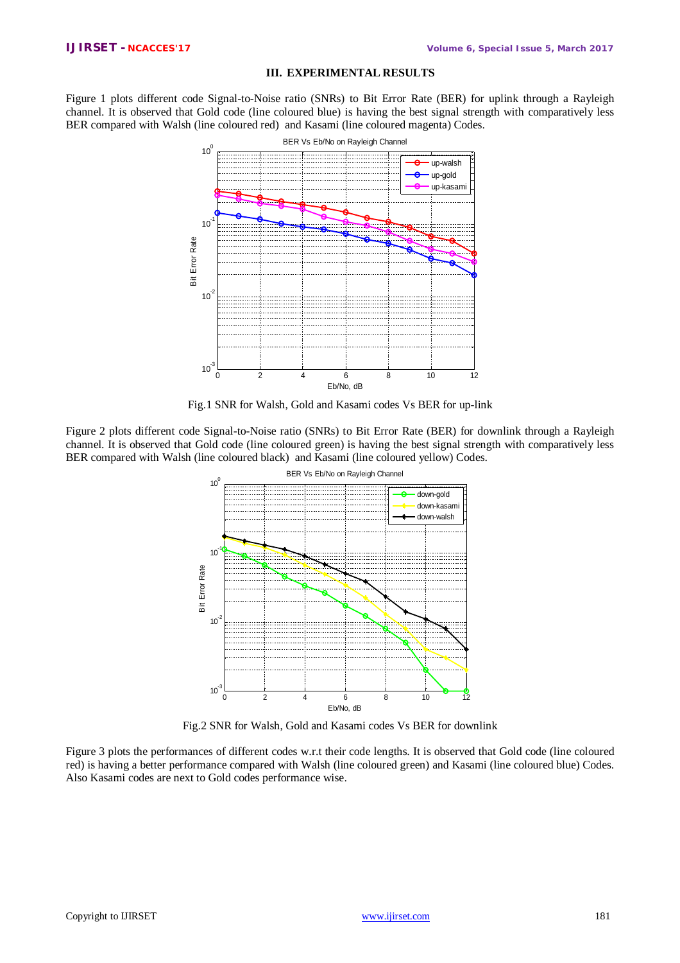## **III. EXPERIMENTAL RESULTS**

Figure 1 plots different code Signal-to-Noise ratio (SNRs) to Bit Error Rate (BER) for uplink through a Rayleigh channel. It is observed that Gold code (line coloured blue) is having the best signal strength with comparatively less BER compared with Walsh (line coloured red) and Kasami (line coloured magenta) Codes.



Fig.1 SNR for Walsh, Gold and Kasami codes Vs BER for up-link

Figure 2 plots different code Signal-to-Noise ratio (SNRs) to Bit Error Rate (BER) for downlink through a Rayleigh channel. It is observed that Gold code (line coloured green) is having the best signal strength with comparatively less BER compared with Walsh (line coloured black) and Kasami (line coloured yellow) Codes.



Fig.2 SNR for Walsh, Gold and Kasami codes Vs BER for downlink

Figure 3 plots the performances of different codes w.r.t their code lengths. It is observed that Gold code (line coloured red) is having a better performance compared with Walsh (line coloured green) and Kasami (line coloured blue) Codes. Also Kasami codes are next to Gold codes performance wise.